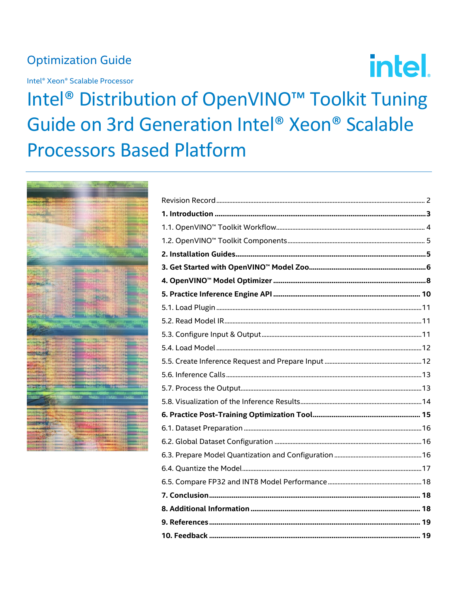# **Optimization Guide**

Intel<sup>®</sup> Xeon<sup>®</sup> Scalable Processor

Intel<sup>®</sup> Distribution of OpenVINO<sup>™</sup> Toolkit Tuning Guide on 3rd Generation Intel® Xeon® Scalable **Processors Based Platform** 



intel.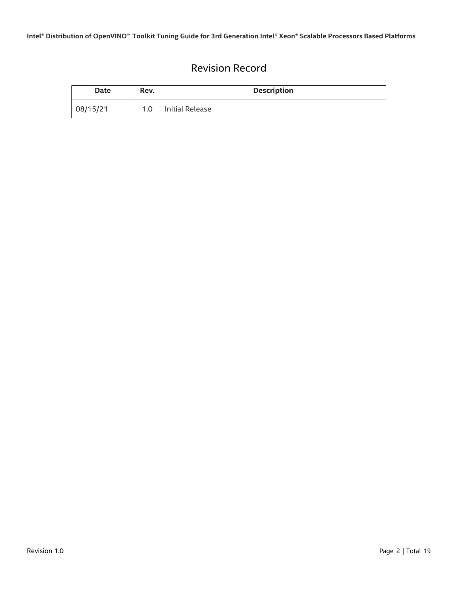# Revision Record

<span id="page-1-0"></span>

| Date     | Rev. | <b>Description</b> |
|----------|------|--------------------|
| 08/15/21 | 1.0  | Initial Release    |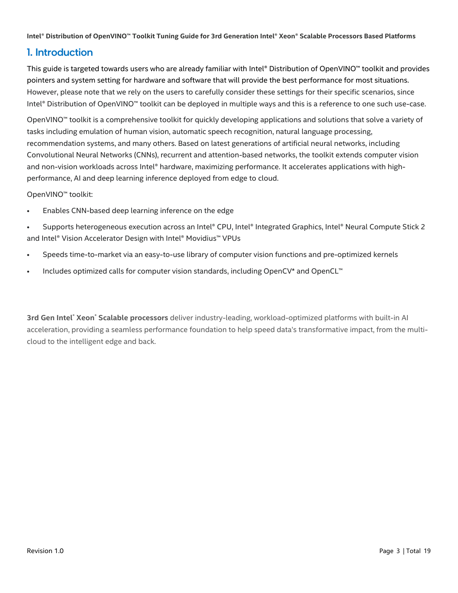# <span id="page-2-0"></span>1. Introduction

This guide is targeted towards users who are already familiar with Intel® Distribution of OpenVINO™ toolkit and provides pointers and system setting for hardware and software that will provide the best performance for most situations. However, please note that we rely on the users to carefully consider these settings for their specific scenarios, since Intel® Distribution of OpenVINO™ toolkit can be deployed in multiple ways and this is a reference to one such use-case.

OpenVINO™ toolkit is a comprehensive toolkit for quickly developing applications and solutions that solve a variety of tasks including emulation of human vision, automatic speech recognition, natural language processing, recommendation systems, and many others. Based on latest generations of artificial neural networks, including Convolutional Neural Networks (CNNs), recurrent and attention-based networks, the toolkit extends computer vision and non-vision workloads across Intel® hardware, maximizing performance. It accelerates applications with highperformance, AI and deep learning inference deployed from edge to cloud.

OpenVINO™ toolkit:

- Enables CNN-based deep learning inference on the edge
- Supports heterogeneous execution across an Intel® CPU, Intel® Integrated Graphics, Intel® Neural Compute Stick 2 and Intel® Vision Accelerator Design with Intel® Movidius™ VPUs
- Speeds time-to-market via an easy-to-use library of computer vision functions and pre-optimized kernels
- Includes optimized calls for computer vision standards, including OpenCV\* and OpenCL™

**3rd Gen Intel**® **Xeon**® **Scalable processors** deliver industry-leading, workload-optimized platforms with built-in AI acceleration, providing a seamless performance foundation to help speed data's transformative impact, from the multicloud to the intelligent edge and back.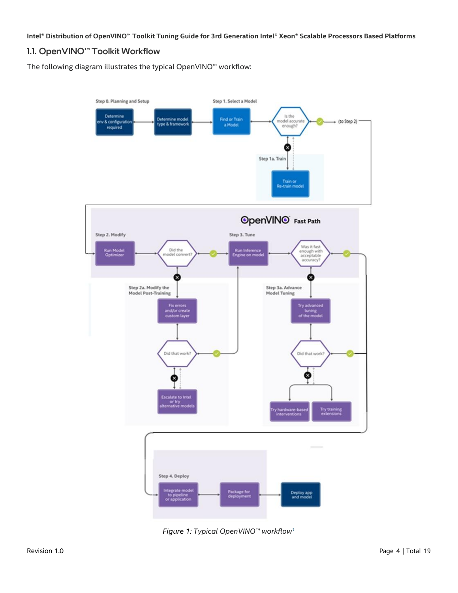## <span id="page-3-0"></span>1.1. OpenVINO™ Toolkit Workflow

The following diagram illustrates the typical OpenVINO™ workflow:



*Figure 1: Typical OpenVINO™ workflo[w](https://docs.openvinotoolkit.org/latest/index.html#openvino_toolkit_components)1*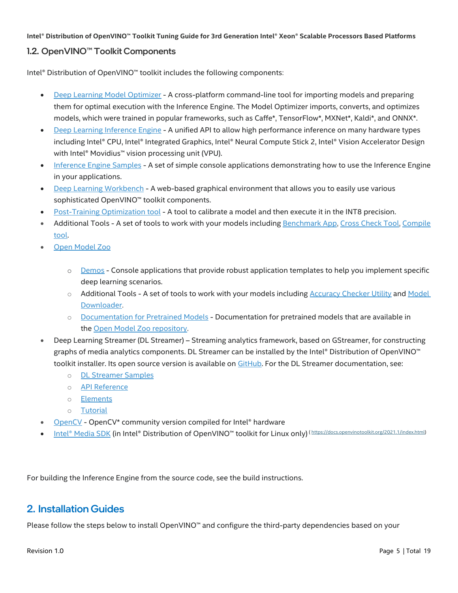## <span id="page-4-0"></span>1.2. OpenVINO™ Toolkit Components

Intel® Distribution of OpenVINO™ toolkit includes the following components:

- [Deep Learning Model Optimizer](https://docs.openvinotoolkit.org/latest/openvino_docs_MO_DG_Deep_Learning_Model_Optimizer_DevGuide.html) A cross-platform command-line tool for importing models and preparing them for optimal execution with the Inference Engine. The Model Optimizer imports, converts, and optimizes models, which were trained in popular frameworks, such as Caffe\*, TensorFlow\*, MXNet\*, Kaldi\*, and ONNX\*.
- [Deep Learning Inference Engine](https://docs.openvinotoolkit.org/latest/openvino_docs_IE_DG_Deep_Learning_Inference_Engine_DevGuide.html) A unified API to allow high performance inference on many hardware types including Intel® CPU, Intel® Integrated Graphics, Intel® Neural Compute Stick 2, Intel® Vision Accelerator Design with Intel® Movidius™ vision processing unit (VPU).
- [Inference Engine Samples](https://docs.openvinotoolkit.org/latest/openvino_docs_IE_DG_Samples_Overview.html) A set of simple console applications demonstrating how to use the Inference Engine in your applications.
- [Deep Learning Workbench](https://docs.openvinotoolkit.org/latest/workbench_docs_Workbench_DG_Introduction.html) A web-based graphical environment that allows you to easily use various sophisticated OpenVINO™ toolkit components.
- [Post-Training Optimization tool](https://docs.openvinotoolkit.org/latest/pot_README.html) A tool to calibrate a model and then execute it in the INT8 precision.
- Additional Tools A set of tools to work with your models including [Benchmark App,](https://docs.openvinotoolkit.org/latest/openvino_inference_engine_tools_benchmark_tool_README.html) [Cross Check](https://docs.openvinotoolkit.org/latest/openvino_inference_engine_tools_cross_check_tool_README.html) Tool, [Compile](https://docs.openvinotoolkit.org/latest/openvino_inference_engine_tools_compile_tool_README.html)  [tool.](https://docs.openvinotoolkit.org/latest/openvino_inference_engine_tools_compile_tool_README.html)
- [Open Model Zoo](https://docs.openvinotoolkit.org/latest/omz_models_group_intel.html)
	- o [Demos](https://docs.openvinotoolkit.org/latest/omz_demos.html) Console applications that provide robust application templates to help you implement specific deep learning scenarios.
	- $\circ$  Additional Tools A set of tools to work with your models including [Accuracy Checker Utility](https://docs.openvinotoolkit.org/latest/omz_tools_accuracy_checker.html) and Model [Downloader.](https://docs.openvinotoolkit.org/latest/omz_tools_downloader.html)
	- o [Documentation for Pretrained Models](https://docs.openvinotoolkit.org/latest/omz_models_group_intel.html) Documentation for pretrained models that are available in the [Open Model Zoo repository.](https://github.com/opencv/open_model_zoo)
- Deep Learning Streamer (DL Streamer) Streaming analytics framework, based on GStreamer, for constructing graphs of media analytics components. DL Streamer can be installed by the Intel® Distribution of OpenVINO™ toolkit installer. Its open source version is available on [GitHub.](https://github.com/opencv/gst-video-analytics) For the DL Streamer documentation, see:
	- o [DL Streamer Samples](https://docs.openvinotoolkit.org/latest/gst_samples_README.html)
	- o [API Reference](https://openvinotoolkit.github.io/dlstreamer_gst/)
	- o [Elements](https://github.com/opencv/gst-video-analytics/wiki/Elements)
	- o [Tutorial](https://github.com/opencv/gst-video-analytics/wiki/DL%20Streamer%20Tutorial)
- [OpenCV](https://docs.opencv.org/master/) OpenCV\* community version compiled for Intel® hardware
- [Intel® Media SDK](https://software.intel.com/en-us/media-sdk) (in Intel® Distribution of OpenVINO™ toolkit for Linux only) ([https://docs.openvinotoolkit.org/2021.1/index.html\)](https://docs.openvinotoolkit.org/2021.1/index.html)

For building the Inference Engine from the source code, see the [build instructions.](https://github.com/openvinotoolkit/openvino/wiki/BuildingCode)

# <span id="page-4-1"></span>2. Installation Guides

Please follow the steps below to install OpenVINO™ and configure the third-party dependencies based on your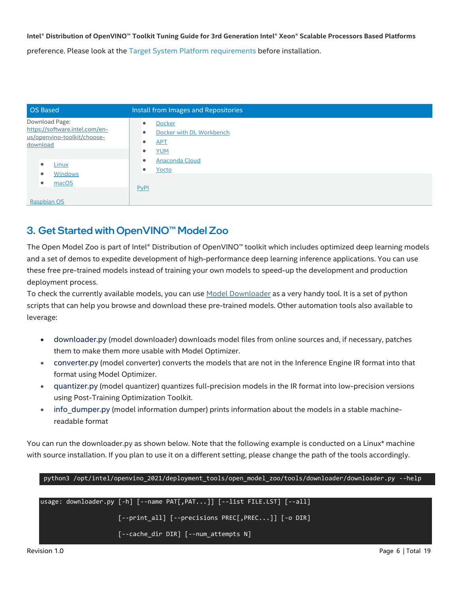**Intel® Distribution of OpenVINO™ Toolkit Tuning Guide for 3rd Generation Intel® Xeon® Scalable Processors Based Platforms** preference. Please look at the [Target System Platform requirements](https://software.intel.com/content/www/us/en/develop/tools/openvino-toolkit/system-requirements.html) before installation.

| OS Based                                                                                                                 | Install from Images and Repositories                                                                                                                          |
|--------------------------------------------------------------------------------------------------------------------------|---------------------------------------------------------------------------------------------------------------------------------------------------------------|
| Download Page:<br>https://software.intel.com/en-<br>us/openvino-toolkit/choose-<br>download<br><b>Linux</b><br>$\bullet$ | <b>Docker</b><br>۰<br>Docker with DL Workbench<br>$\bullet$<br><b>APT</b><br>$\bullet$<br><b>YUM</b><br>۰<br><b>Anaconda Cloud</b><br>$\bullet$<br>Yocto<br>۰ |
| <b>Windows</b><br>macOS<br><b>Raspbian OS</b>                                                                            | PvPI                                                                                                                                                          |

# <span id="page-5-0"></span>3. Get Started with OpenVINO™ Model Zoo

The Open Model Zoo is part of Intel® Distribution of OpenVINO™ toolkit which includes optimized deep learning models and a set of demos to expedite development of high-performance deep learning inference applications. You can use these free pre-trained models instead of training your own models to speed-up the development and production deployment process.

To check the currently available models, you can use [Model Downloader](https://docs.openvinotoolkit.org/latest/omz_tools_downloader.html) as a very handy tool. It is a set of python scripts that can help you browse and download these pre-trained models. Other automation tools also available to leverage:

- downloader.py (model downloader) downloads model files from online sources and, if necessary, patches them to make them more usable with Model Optimizer.
- converter.py (model converter) converts the models that are not in the Inference Engine IR format into that format using Model Optimizer.
- quantizer.py (model quantizer) quantizes full-precision models in the IR format into low-precision versions using Post-Training Optimization Toolkit.
- info\_dumper.py (model information dumper) prints information about the models in a stable machinereadable format

You can run the downloader.py as shown below. Note that the following example is conducted on a Linux\* machine with source installation. If you plan to use it on a different setting, please change the path of the tools accordingly.

python3 /opt/intel/openvino\_2021/deployment\_tools/open\_model\_zoo/tools/downloader/downloader.py --help usage: downloader.py [-h] [--name PAT[,PAT...]] [--list FILE.LST] [--all] [--print\_all] [--precisions PREC[,PREC...]] [-o DIR] [--cache\_dir DIR] [--num\_attempts N]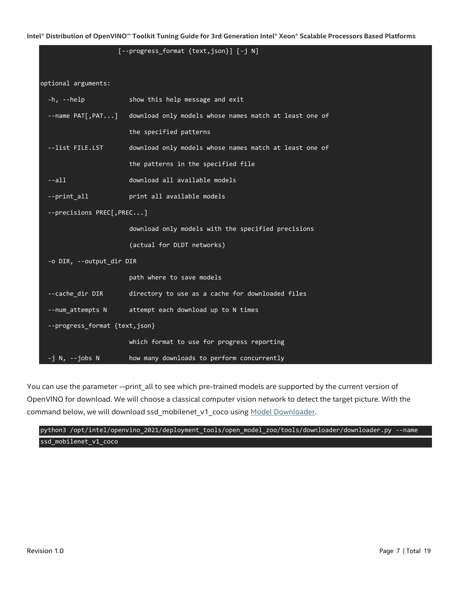|                               | [--progress_format {text,json}] [-j N]                 |  |  |  |
|-------------------------------|--------------------------------------------------------|--|--|--|
| optional arguments:           |                                                        |  |  |  |
| -h, --help                    | show this help message and exit                        |  |  |  |
| --name PAT[,PAT]              | download only models whose names match at least one of |  |  |  |
|                               | the specified patterns                                 |  |  |  |
| --list FILE.LST               | download only models whose names match at least one of |  |  |  |
|                               | the patterns in the specified file                     |  |  |  |
| $--a11$                       | download all available models                          |  |  |  |
| --print all                   | print all available models                             |  |  |  |
| --precisions PREC[, PREC]     |                                                        |  |  |  |
|                               | download only models with the specified precisions     |  |  |  |
|                               | (actual for DLDT networks)                             |  |  |  |
| -o DIR, --output_dir DIR      |                                                        |  |  |  |
|                               | path where to save models                              |  |  |  |
| --cache dir DIR               | directory to use as a cache for downloaded files       |  |  |  |
| --num attempts N              | attempt each download up to N times                    |  |  |  |
| --progress_format {text,json} |                                                        |  |  |  |
|                               | which format to use for progress reporting             |  |  |  |
| -j N, --jobs N                | how many downloads to perform concurrently             |  |  |  |

You can use the parameter --print\_all to see which pre-trained models are supported by the current version of OpenVINO for download. We will choose a classical computer vision network to detect the target picture. With the command below, we will download ssd\_mobilenet\_v1\_coco using [Model Downloader.](https://docs.openvinotoolkit.org/latest/omz_tools_downloader.html)

python3 /opt/intel/openvino\_2021/deployment\_tools/open\_model\_zoo/tools/downloader/downloader.py --name ssd\_mobilenet\_v1\_coco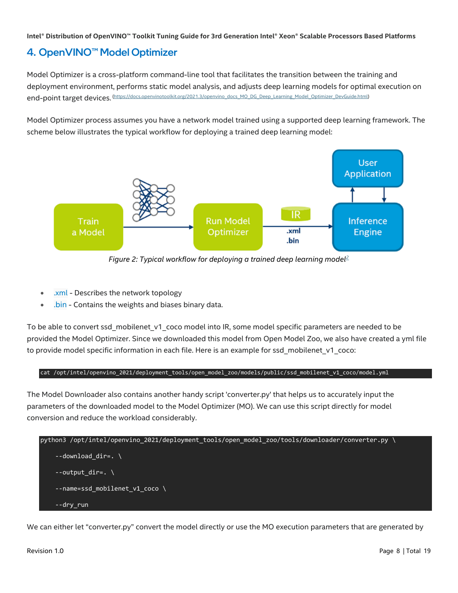# <span id="page-7-0"></span>4. OpenVINO™ Model Optimizer

Model Optimizer is a cross-platform command-line tool that facilitates the transition between the training and deployment environment, performs static model analysis, and adjusts deep learning models for optimal execution on end-point target devices. [\(https://docs.openvinotoolkit.org/2021.3/openvino\\_docs\\_MO\\_DG\\_Deep\\_Learning\\_Model\\_Optimizer\\_DevGuide.html\)](https://docs.openvinotoolkit.org/2021.3/openvino_docs_MO_DG_Deep_Learning_Model_Optimizer_DevGuide.html)

Model Optimizer process assumes you have a network model trained using a supported deep learning framework. The scheme below illustrates the typical workflow for deploying a trained deep learning model:



*Figure 2: Typical workflow for deploying a trained deep learning mode[l](https://docs.openvinotoolkit.org/2021.3/openvino_docs_MO_DG_Deep_Learning_Model_Optimizer_DevGuide.html)<sup>2</sup>*

- .xml Describes the network topology
- .bin Contains the weights and biases binary data.

To be able to convert ssd\_mobilenet\_v1\_coco model into IR, some model specific parameters are needed to be provided the Model Optimizer. Since we downloaded this model from Open Model Zoo, we also have created a yml file to provide model specific information in each file. Here is an example for ssd mobilenet v1 coco:

#### cat /opt/intel/openvino\_2021/deployment\_tools/open\_model\_zoo/models/public/ssd\_mobilenet\_v1\_coco/model.yml

The Model Downloader also contains another handy script 'converter.py' that helps us to accurately input the parameters of the downloaded model to the Model Optimizer (MO). We can use this script directly for model conversion and reduce the workload considerably.

```
python3 /opt/intel/openvino_2021/deployment_tools/open_model_zoo/tools/downloader/converter.py \
    --download dir=. \setminus--output dir=. \setminus --name=ssd_mobilenet_v1_coco \
     --dry_run
```
We can either let "converter.py" convert the model directly or use the MO execution parameters that are generated by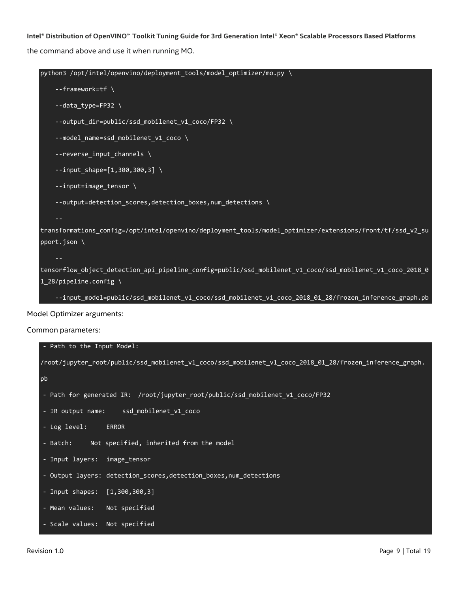**Intel® Distribution of OpenVINO™ Toolkit Tuning Guide for 3rd Generation Intel® Xeon® Scalable Processors Based Platforms** the command above and use it when running MO.

```
python3 /opt/intel/openvino/deployment_tools/model_optimizer/mo.py \
        --framework=tf \
        --data_type=FP32 \
        --output_dir=public/ssd_mobilenet_v1_coco/FP32 \
       --model name=ssd mobilenet v1 coco \
        --reverse_input_channels \
       -input_shape=[1,300,300,3] \
        --input=image_tensor \
        --output=detection_scores,detection_boxes,num_detections \
   transformations_config=/opt/intel/openvino/deployment_tools/model_optimizer/extensions/front/tf/ssd_v2_su
   pport.json \
        --
   tensorflow_object_detection_api_pipeline_config=public/ssd_mobilenet_v1_coco/ssd_mobilenet_v1_coco_2018_0
   1 28/pipeline.config \setminus --input_model=public/ssd_mobilenet_v1_coco/ssd_mobilenet_v1_coco_2018_01_28/frozen_inference_graph.pb
Model Optimizer arguments:
```

```
Common parameters:
```

```
- Path to the Input Model:
/root/jupyter_root/public/ssd_mobilenet_v1_coco/ssd_mobilenet_v1_coco_2018_01_28/frozen_inference_graph.
pb
- Path for generated IR: /root/jupyter_root/public/ssd_mobilenet_v1_coco/FP32
- IR output name: ssd_mobilenet_v1_coco
- Log level: ERROR
- Batch: Not specified, inherited from the model
- Input layers: image_tensor
- Output layers: detection_scores,detection_boxes,num_detections
- Input shapes: [1,300,300,3]
- Mean values: Not specified
 Scale values: Not specified
```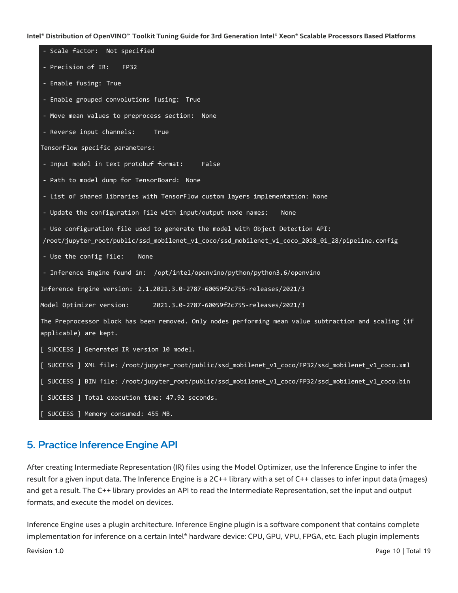| - Scale factor: Not specified                                                                         |
|-------------------------------------------------------------------------------------------------------|
| - Precision of IR:<br><b>FP32</b>                                                                     |
| - Enable fusing: True                                                                                 |
| - Enable grouped convolutions fusing: True                                                            |
| - Move mean values to preprocess section: None                                                        |
| - Reverse input channels:<br>True                                                                     |
| TensorFlow specific parameters:                                                                       |
| - Input model in text protobuf format:<br>False                                                       |
| - Path to model dump for TensorBoard: None                                                            |
| - List of shared libraries with TensorFlow custom layers implementation: None                         |
| - Update the configuration file with input/output node names:<br>None                                 |
| - Use configuration file used to generate the model with Object Detection API:                        |
| /root/jupyter_root/public/ssd_mobilenet_v1_coco/ssd_mobilenet_v1_coco_2018_01_28/pipeline.config      |
| - Use the config file:<br>None                                                                        |
| - Inference Engine found in: /opt/intel/openvino/python/python3.6/openvino                            |
| Inference Engine version: 2.1.2021.3.0-2787-60059f2c755-releases/2021/3                               |
| Model Optimizer version:<br>2021.3.0-2787-60059f2c755-releases/2021/3                                 |
| The Preprocessor block has been removed. Only nodes performing mean value subtraction and scaling (if |
| applicable) are kept.                                                                                 |
| [ SUCCESS ] Generated IR version 10 model.                                                            |
| [ SUCCESS ] XML file: /root/jupyter_root/public/ssd_mobilenet_v1_coco/FP32/ssd_mobilenet_v1_coco.xml  |
| [ SUCCESS ] BIN file: /root/jupyter_root/public/ssd_mobilenet_v1_coco/FP32/ssd_mobilenet_v1_coco.bin  |
| [ SUCCESS ] Total execution time: 47.92 seconds.                                                      |
| [ SUCCESS ] Memory consumed: 455 MB.                                                                  |

## <span id="page-9-0"></span>5. Practice Inference Engine API

After creating Intermediate Representation (IR) files using the Model Optimizer, use the Inference Engine to infer the result for a given input data. The Inference Engine is a 2C++ library with a set of C++ classes to infer input data (images) and get a result. The C++ library provides an API to read the Intermediate Representation, set the input and output formats, and execute the model on devices.

Inference Engine uses a plugin architecture. Inference Engine plugin is a software component that contains complete implementation for inference on a certain Intel® hardware device: CPU, GPU, VPU, FPGA, etc. Each plugin implements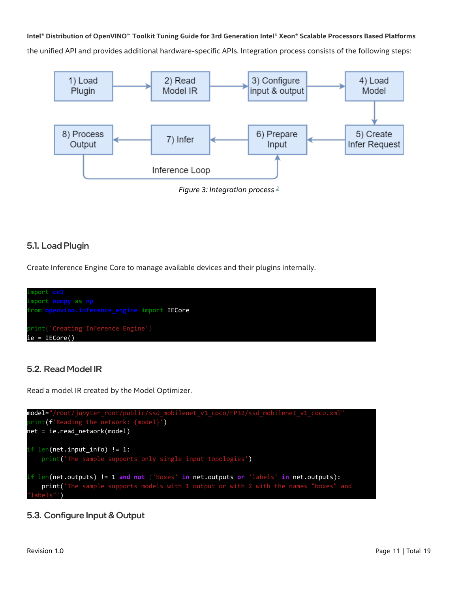**Intel® Distribution of OpenVINO™ Toolkit Tuning Guide for 3rd Generation Intel® Xeon® Scalable Processors Based Platforms** the unified API and provides additional hardware-specific APIs. Integration process consists of the following steps:



## <span id="page-10-0"></span>5.1. Load Plugin

Create Inference Engine Core to manage available devices and their plugins internally.



## <span id="page-10-1"></span>5.2. Read Model IR

Read a model IR created by the Model Optimizer.



## <span id="page-10-2"></span>5.3. Configure Input & Output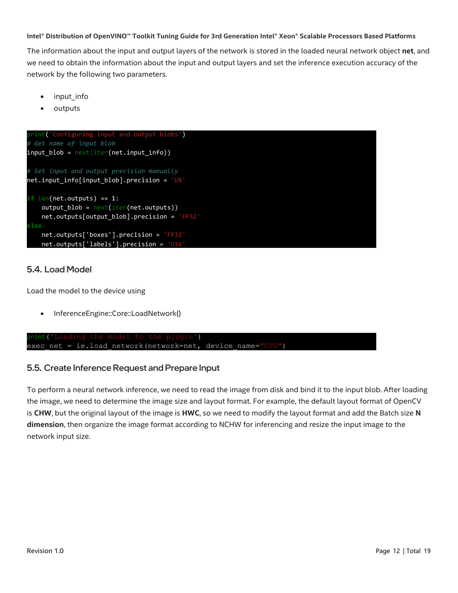The information about the input and output layers of the network is stored in the loaded neural network object **net**, and we need to obtain the information about the input and output layers and set the inference execution accuracy of the network by the following two parameters.

- input info
- outputs



### <span id="page-11-0"></span>5.4. Load Model

Load the model to the device using

• InferenceEngine::Core::LoadNetwork()

```
int('Loading the model to the plugin')
exec net = ie.load network(network=net, device name="CPU")
```
### <span id="page-11-1"></span>5.5. Create Inference Request and Prepare Input

To perform a neural network inference, we need to read the image from disk and bind it to the input blob. After loading the image, we need to determine the image size and layout format. For example, the default layout format of OpenCV is **CHW**, but the original layout of the image is **HWC**, so we need to modify the layout format and add the Batch size **N dimension**, then organize the image format according to NCHW for inferencing and resize the input image to the network input size.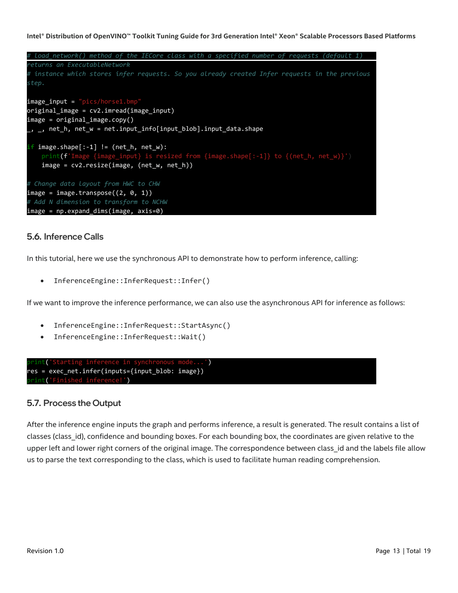```
# load_network() method of the IECore class with a specified number of requests (default 1) 
returns an ExecutableNetwork
# instance which stores infer requests. So you already created Infer requests in the previous 
step.
image_input = "pics/horse1.bmp"
original_image = cv2.imread(image_input)
image = original_image.copy()
_, _, net_h, net_w = net.input_info[input_blob].input_data.shape
if image.shape[:-1] != (net_h, net_w):
    print(f'Image {image_input} is resized from {image.shape[:-1]} to {(net_h, net_w)}')
   image = cv2.resize(image, (net w, net h))
# Change data layout from HWC to CHW
image = image.transpose((2, 0, 1))# Add N dimension to transform to NCHW
image = np.expand_dims(image, axis=0)
```
## <span id="page-12-0"></span>5.6. Inference Calls

In this tutorial, here we use the synchronous API to demonstrate how to perform inference, calling:

• InferenceEngine::InferRequest::Infer()

If we want to improve the inference performance, we can also use the asynchronous API for inference as follows:

- InferenceEngine::InferRequest::StartAsync()
- InferenceEngine::InferRequest::Wait()



### <span id="page-12-1"></span>5.7. Process the Output

After the inference engine inputs the graph and performs inference, a result is generated. The result contains a list of classes (class\_id), confidence and bounding boxes. For each bounding box, the coordinates are given relative to the upper left and lower right corners of the original image. The correspondence between class\_id and the labels file allow us to parse the text corresponding to the class, which is used to facilitate human reading comprehension.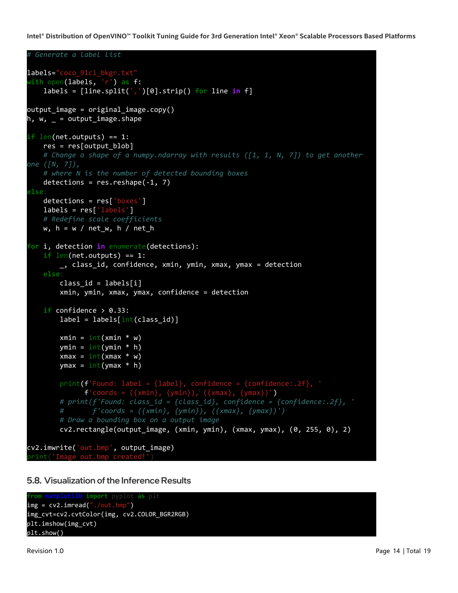```
# Generate a label list
labels="coco_91cl_bkgr.txt"
with open(labels, 'r') as f:
     labels = [line.split(',')[0].strip() for line in f]
output image = original image.copy()
h, w, = = output_image.shape
if len(net.outputs) == 1:
    res = res[output block] # Change a shape of a numpy.ndarray with results ([1, 1, N, 7]) to get another 
one ([N, 7]),
     # where N is the number of detected bounding boxes
   detections = res.readpe(-1, 7)
else:
    detections = res['boxes']
    labels = res['labels']
    # Redefine scale coefficients
   w, h = w / net_w, h / net_hfor i, detection in enumerate(detections):
     if len(net.outputs) == 1:
        _, class_id, confidence, xmin, ymin, xmax, ymax = detection
    else:
        class id = labels[i] xmin, ymin, xmax, ymax, confidence = detection
    if confidence > 0.33:
        label = labels(int(\text{class_id})]xmin = int(xmin * w)ymin = int(ymin * h)xmax = int(xmax * w)
        ymax = int(ymax * h)
         print(f'Found: label = {label}, confidence = {confidence:.2f}, '
              f'coords = ({xmin}, {ymin}), ({xmax}, {ymax})') # print(f'Found: class_id = {class_id}, confidence = {confidence:.2f}, '
         # f'coords = ({xmin}, {ymin}), ({xmax}, {ymax})')
         # Draw a bounding box on a output image
         cv2.rectangle(output_image, (xmin, ymin), (xmax, ymax), (0, 255, 0), 2)
cv2.imwrite('out.bmp', output_image)
 print('Image out.bmp created!')
```
<span id="page-13-0"></span>5.8. Visualization of the Inference Results

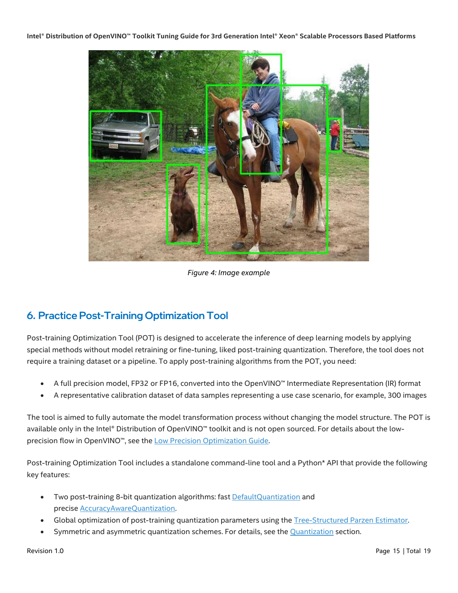

*Figure 4: Image example* 

# <span id="page-14-0"></span>6. Practice Post-Training Optimization Tool

Post-training Optimization Tool (POT) is designed to accelerate the inference of deep learning models by applying special methods without model retraining or fine-tuning, liked post-training quantization. Therefore, the tool does not require a training dataset or a pipeline. To apply post-training algorithms from the POT, you need:

- A full precision model, FP32 or FP16, converted into the OpenVINO™ Intermediate Representation (IR) format
- A representative calibration dataset of data samples representing a use case scenario, for example, 300 images

The tool is aimed to fully automate the model transformation process without changing the model structure. The POT is available only in the Intel® Distribution of OpenVINO™ toolkit and is not open sourced. For details about the low-precision flow in OpenVINO™, see the [Low Precision Optimization Guide.](https://docs.openvinotoolkit.org/latest/pot_docs_LowPrecisionOptimizationGuide.html)

Post-training Optimization Tool includes a standalone command-line tool and a Python\* API that provide the following key features:

- Two post-training 8-bit quantization algorithms: fast [DefaultQuantization](https://docs.openvinotoolkit.org/latest/pot_compression_algorithms_quantization_default_README.html) and precise [AccuracyAwareQuantization.](https://docs.openvinotoolkit.org/latest/pot_compression_algorithms_quantization_accuracy_aware_README.html)
- Global optimization of post-training quantization parameters using the [Tree-Structured Parzen Estimator.](https://docs.openvinotoolkit.org/latest/pot_compression_optimization_tpe_README.html)
- Symmetric and asymmetric quantization schemes. For details, see the [Quantization](https://docs.openvinotoolkit.org/latest/pot_compression_algorithms_quantization_README.html) section.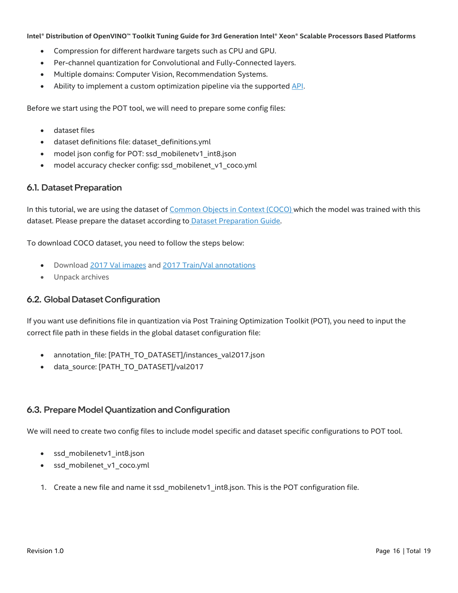- Compression for different hardware targets such as CPU and GPU.
- Per-channel quantization for Convolutional and Fully-Connected layers.
- Multiple domains: Computer Vision, Recommendation Systems.
- Ability to implement a custom optimization pipeline via the supported [API](https://docs.openvinotoolkit.org/latest/pot_compression_api_README.html).

Before we start using the POT tool, we will need to prepare some config files:

- dataset files
- dataset definitions file: dataset definitions.yml
- model json config for POT: ssd\_mobilenetv1\_int8.json
- model accuracy checker config: ssd\_mobilenet\_v1\_coco.yml

#### <span id="page-15-0"></span>6.1. Dataset Preparation

In this tutorial, we are using the dataset of [Common Objects in Context \(COCO\)](https://cocodataset.org/#home) which the model was trained with this dataset. Please prepare the dataset according to [Dataset Preparation Guide.](https://github.com/openvinotoolkit/open_model_zoo/blob/release/data/datasets.md) 

To download COCO dataset, you need to follow the steps below:

- Download [2017 Val images](http://images.cocodataset.org/zips/val2017.zip) and [2017 Train/Val annotations](http://images.cocodataset.org/annotations/annotations_trainval2017.zip)
- Unpack archives

#### <span id="page-15-1"></span>6.2. Global Dataset Configuration

If you want use definitions file in quantization via Post Training Optimization Toolkit (POT), you need to input the correct file path in these fields in the global dataset configuration file:

- annotation\_file: [PATH\_TO\_DATASET]/instances\_val2017.json
- data\_source: [PATH\_TO\_DATASET]/val2017

### <span id="page-15-2"></span>6.3. Prepare Model Quantization and Configuration

We will need to create two config files to include model specific and dataset specific configurations to POT tool.

- ssd\_mobilenetv1\_int8.json
- ssd\_mobilenet\_v1\_coco.yml
- 1. Create a new file and name it ssd mobilenetv1 int8.json. This is the POT configuration file.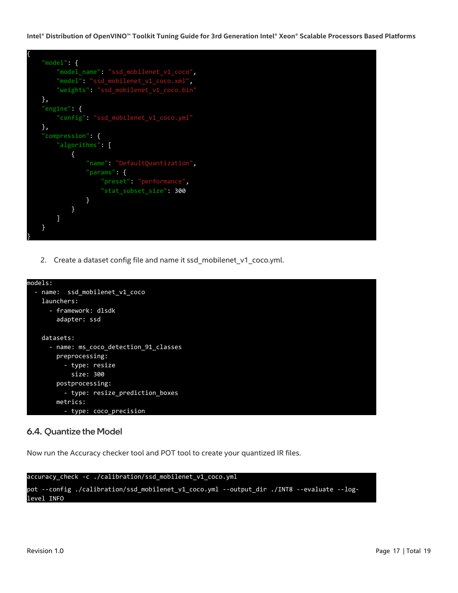

2. Create a dataset config file and name it ssd\_mobilenet\_v1\_coco.yml.



### <span id="page-16-0"></span>6.4. Quantize the Model

Now run the Accuracy checker tool and POT tool to create your quantized IR files.

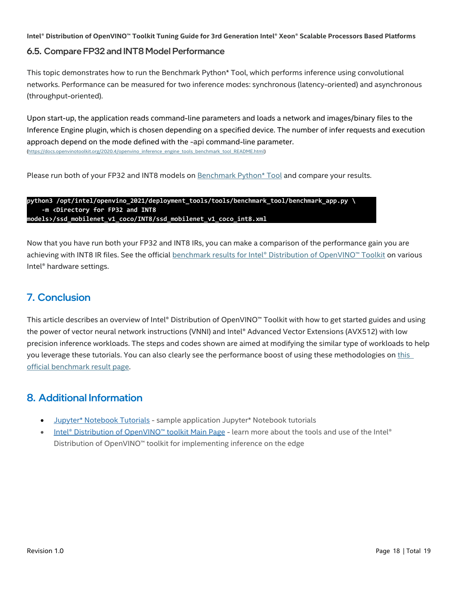#### <span id="page-17-0"></span>6.5. Compare FP32 and INT8 Model Performance

This topic demonstrates how to run the Benchmark Python\* Tool, which performs inference using convolutional networks. Performance can be measured for two inference modes: synchronous (latency-oriented) and asynchronous (throughput-oriented).

Upon start-up, the application reads command-line parameters and loads a network and images/binary files to the Inference Engine plugin, which is chosen depending on a specified device. The number of infer requests and execution approach depend on the mode defined with the -api command-line parameter. [\(https://docs.openvinotoolkit.org/2020.4/openvino\\_inference\\_engine\\_tools\\_benchmark\\_tool\\_README.html\)](https://docs.openvinotoolkit.org/2020.4/openvino_inference_engine_tools_benchmark_tool_README.html)

Please run both of your FP32 and INT8 models on [Benchmark Python\\* Tool](https://docs.openvinotoolkit.org/latest/openvino_inference_engine_tools_benchmark_tool_README.html) and compare your results.

```
python3 /opt/intel/openvino_2021/deployment_tools/tools/benchmark_tool/benchmark_app.py \
     -m <Directory for FP32 and INT8 
models>/ssd_mobilenet_v1_coco/INT8/ssd_mobilenet_v1_coco_int8.xml
```
Now that you have run both your FP32 and INT8 IRs, you can make a comparison of the performance gain you are achieving with INT8 IR files. See the official benchmark r[esults for Intel® Distribution of OpenVINO™ Toolkit](https://docs.openvinotoolkit.org/latest/openvino_docs_performance_benchmarks_openvino.html) on various Intel® hardware settings.

# <span id="page-17-1"></span>7. Conclusion

This article describes an overview of Intel® Distribution of OpenVINO™ Toolkit with how to get started guides and using the power of vector neural network instructions (VNNI) and Intel® Advanced Vector Extensions (AVX512) with low precision inference workloads. The steps and codes shown are aimed at modifying the similar type of workloads to help you leverage these tutorials. You can also clearly see the performance boost of using these methodologies on [this](https://docs.openvinotoolkit.org/latest/openvino_docs_performance_benchmarks_openvino.html)  [official benchmark result page.](https://docs.openvinotoolkit.org/latest/openvino_docs_performance_benchmarks_openvino.html) 

## <span id="page-17-2"></span>8. Additional Information

- [Jupyter\\* Notebook Tutorials](https://devcloud.intel.com/edge/get_started/tutorials) sample application Jupyter\* Notebook tutorials
- [Intel® Distribution of Open](https://software.intel.com/openvino-toolkit)VINO™ toolkit Main Page learn more about the tools and use of the Intel® Distribution of OpenVINO™ toolkit for implementing inference on the edge